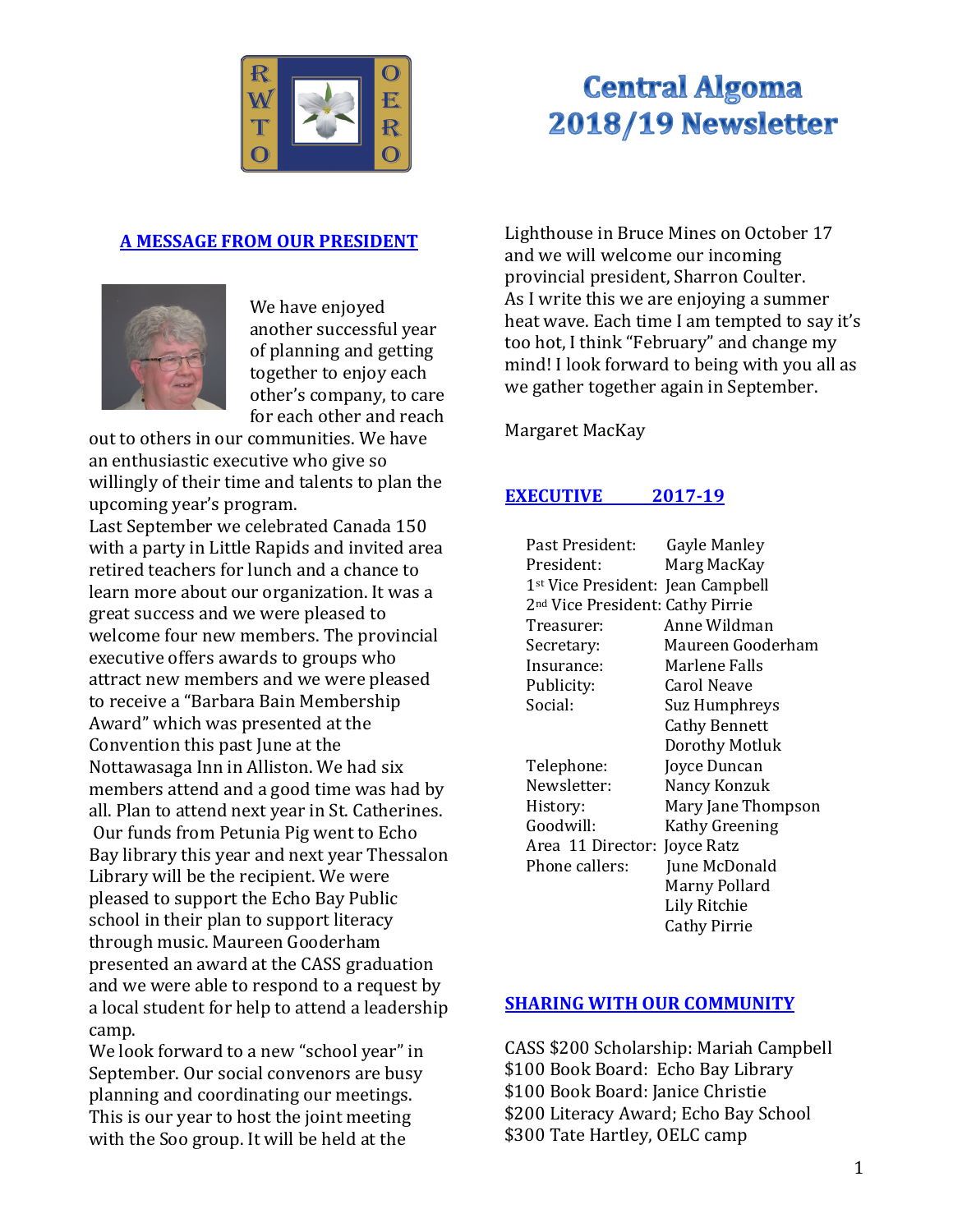

# **Central Algoma** 2018/19 Newsletter

# **A MESSAGE FROM OUR PRESIDENT**



We have enjoyed another successful year of planning and getting together to enjoy each other's company, to care for each other and reach

out to others in our communities. We have an enthusiastic executive who give so willingly of their time and talents to plan the upcoming year's program.

Last September we celebrated Canada 150 with a party in Little Rapids and invited area retired teachers for lunch and a chance to learn more about our organization. It was a great success and we were pleased to welcome four new members. The provincial executive offers awards to groups who attract new members and we were pleased to receive a "Barbara Bain Membership Award" which was presented at the Convention this past June at the Nottawasaga Inn in Alliston. We had six members attend and a good time was had by all. Plan to attend next year in St. Catherines. Our funds from Petunia Pig went to Echo Bay library this year and next year Thessalon Library will be the recipient. We were pleased to support the Echo Bay Public school in their plan to support literacy through music. Maureen Gooderham presented an award at the CASS graduation and we were able to respond to a request by a local student for help to attend a leadership camp.

We look forward to a new "school year" in September. Our social convenors are busy planning and coordinating our meetings. This is our year to host the joint meeting with the Soo group. It will be held at the

Lighthouse in Bruce Mines on October 17 and we will welcome our incoming provincial president, Sharron Coulter. As I write this we are enjoying a summer heat wave. Each time I am tempted to say it's too hot, I think "February" and change my mind! I look forward to being with you all as we gather together again in September.

Margaret MacKay

# **EXECUTIVE** 2017-19

| Past President:                               | Gayle Manley          |
|-----------------------------------------------|-----------------------|
| President:                                    | Marg MacKay           |
| 1 <sup>st</sup> Vice President: Jean Campbell |                       |
| 2 <sup>nd</sup> Vice President: Cathy Pirrie  |                       |
| Treasurer:                                    | Anne Wildman          |
| Secretary:                                    | Maureen Gooderham     |
| Insurance:                                    | Marlene Falls         |
| Publicity:                                    | Carol Neave           |
| Social:                                       | Suz Humphreys         |
|                                               | <b>Cathy Bennett</b>  |
|                                               | Dorothy Motluk        |
| Telephone:                                    | Joyce Duncan          |
| Newsletter:                                   | Nancy Konzuk          |
| History:                                      | Mary Jane Thompson    |
| Goodwill:                                     | <b>Kathy Greening</b> |
| Area 11 Director:                             | Joyce Ratz            |
| Phone callers:                                | June McDonald         |
|                                               | Marny Pollard         |
|                                               | Lily Ritchie          |
|                                               | Cathy Pirrie          |

# **SHARING WITH OUR COMMUNITY**

CASS \$200 Scholarship: Mariah Campbell \$100 Book Board: Echo Bay Library \$100 Book Board: Janice Christie \$200 Literacy Award; Echo Bay School \$300 Tate Hartley, OELC camp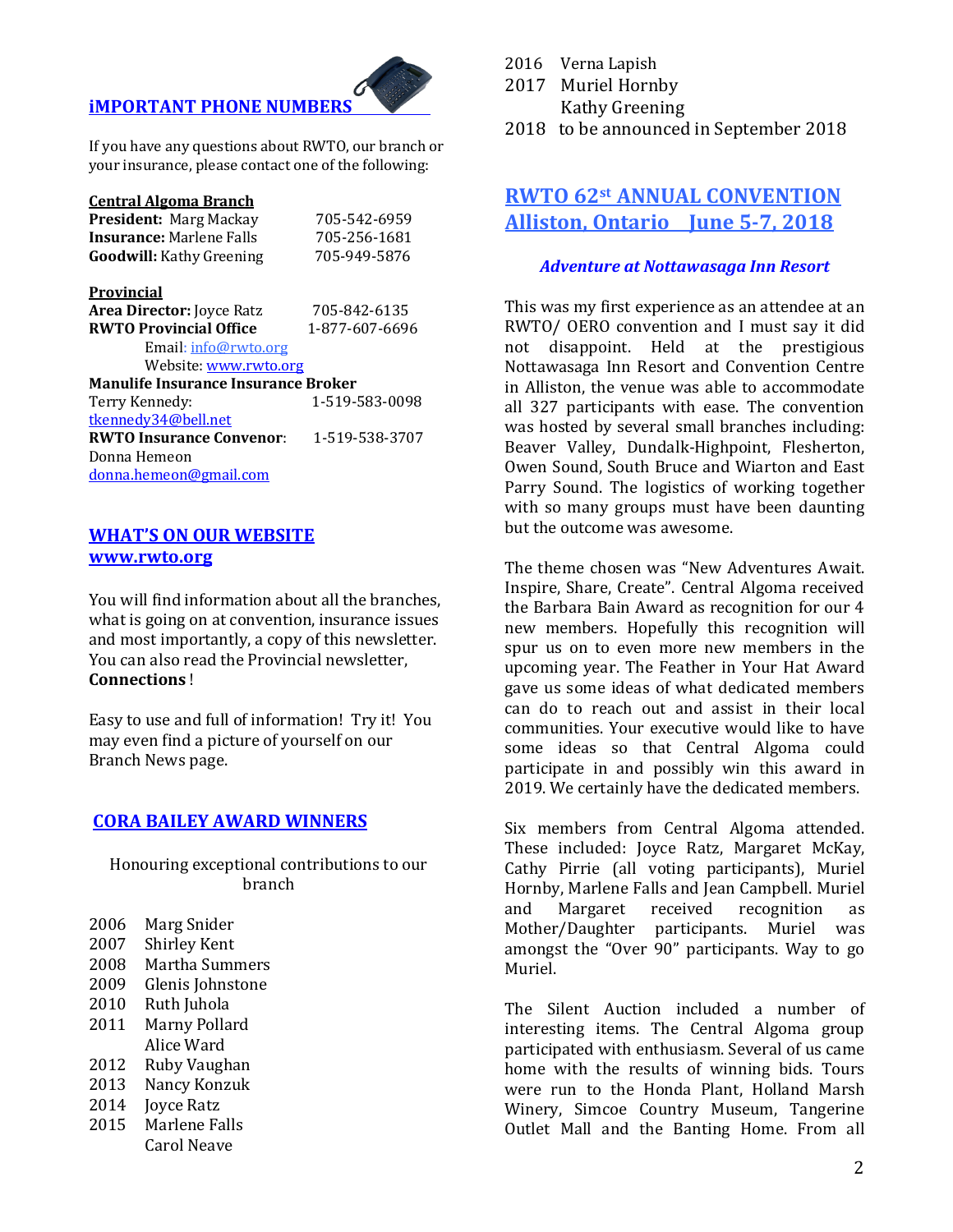# *iMPORTANT PHONE NUMBERS*

If you have any questions about RWTO, our branch or your insurance, please contact one of the following:

#### **Central Algoma Branch**

| <b>President: Marg Mackay</b>              | 705-542-6959   |  |  |
|--------------------------------------------|----------------|--|--|
| <b>Insurance:</b> Marlene Falls            | 705-256-1681   |  |  |
| <b>Goodwill:</b> Kathy Greening            | 705-949-5876   |  |  |
| <b>Provincial</b>                          |                |  |  |
| <b>Area Director:</b> Joyce Ratz           | 705-842-6135   |  |  |
| <b>RWTO Provincial Office</b>              | 1-877-607-6696 |  |  |
| Email: info@rwto.org                       |                |  |  |
| Website: www.rwto.org                      |                |  |  |
| <b>Manulife Insurance Insurance Broker</b> |                |  |  |
| Terry Kennedy:                             | 1-519-583-0098 |  |  |
| tkennedv34@bell.net                        |                |  |  |
| <b>RWTO Insurance Convenor:</b>            | 1-519-538-3707 |  |  |
| Donna Hemeon                               |                |  |  |
| donna.hemeon@gmail.com                     |                |  |  |

### **WHAT'S ON OUR WEBSITE www.rwto.org**

You will find information about all the branches, what is going on at convention, insurance issues and most importantly, a copy of this newsletter. You can also read the Provincial newsletter, **Connections** !

Easy to use and full of information! Try it! You may even find a picture of yourself on our Branch News page.

### **CORA BAILEY AWARD WINNERS**

Honouring exceptional contributions to our branch

- 2006 Marg Snider
- 2007 Shirley Kent
- 2008 Martha Summers
- 2009 Glenis Johnstone
- 2010 Ruth Juhola
- 2011 Marny Pollard
- Alice Ward
- 2012 Ruby Vaughan
- 2013 Nancy Konzuk
- 2014 **Joyce Ratz**
- 2015 Marlene Falls Carol Neave
- 2016 Verna Lapish
- 2017 Muriel Hornby Kathy Greening
- 2018 to be announced in September 2018

# **RWTO 62st ANNUAL CONVENTION Alliston, Ontario June 5-7, 2018**

### *Adventure at Nottawasaga Inn Resort*

This was my first experience as an attendee at an RWTO/ OERO convention and I must say it did not disappoint. Held at the prestigious Nottawasaga Inn Resort and Convention Centre in Alliston, the venue was able to accommodate all 327 participants with ease. The convention was hosted by several small branches including: Beaver Valley, Dundalk-Highpoint, Flesherton, Owen Sound, South Bruce and Wiarton and East Parry Sound. The logistics of working together with so many groups must have been daunting but the outcome was awesome.

The theme chosen was "New Adventures Await. Inspire, Share, Create". Central Algoma received the Barbara Bain Award as recognition for our 4 new members. Hopefully this recognition will spur us on to even more new members in the upcoming year. The Feather in Your Hat Award gave us some ideas of what dedicated members can do to reach out and assist in their local communities. Your executive would like to have some ideas so that Central Algoma could participate in and possibly win this award in 2019. We certainly have the dedicated members.

Six members from Central Algoma attended. These included: Joyce Ratz, Margaret McKay, Cathy Pirrie (all voting participants), Muriel Hornby, Marlene Falls and Jean Campbell. Muriel and Margaret received recognition as Mother/Daughter participants. Muriel was amongst the "Over 90" participants. Way to go Muriel.

The Silent Auction included a number of interesting items. The Central Algoma group participated with enthusiasm. Several of us came home with the results of winning bids. Tours were run to the Honda Plant, Holland Marsh Winery, Simcoe Country Museum, Tangerine Outlet Mall and the Banting Home. From all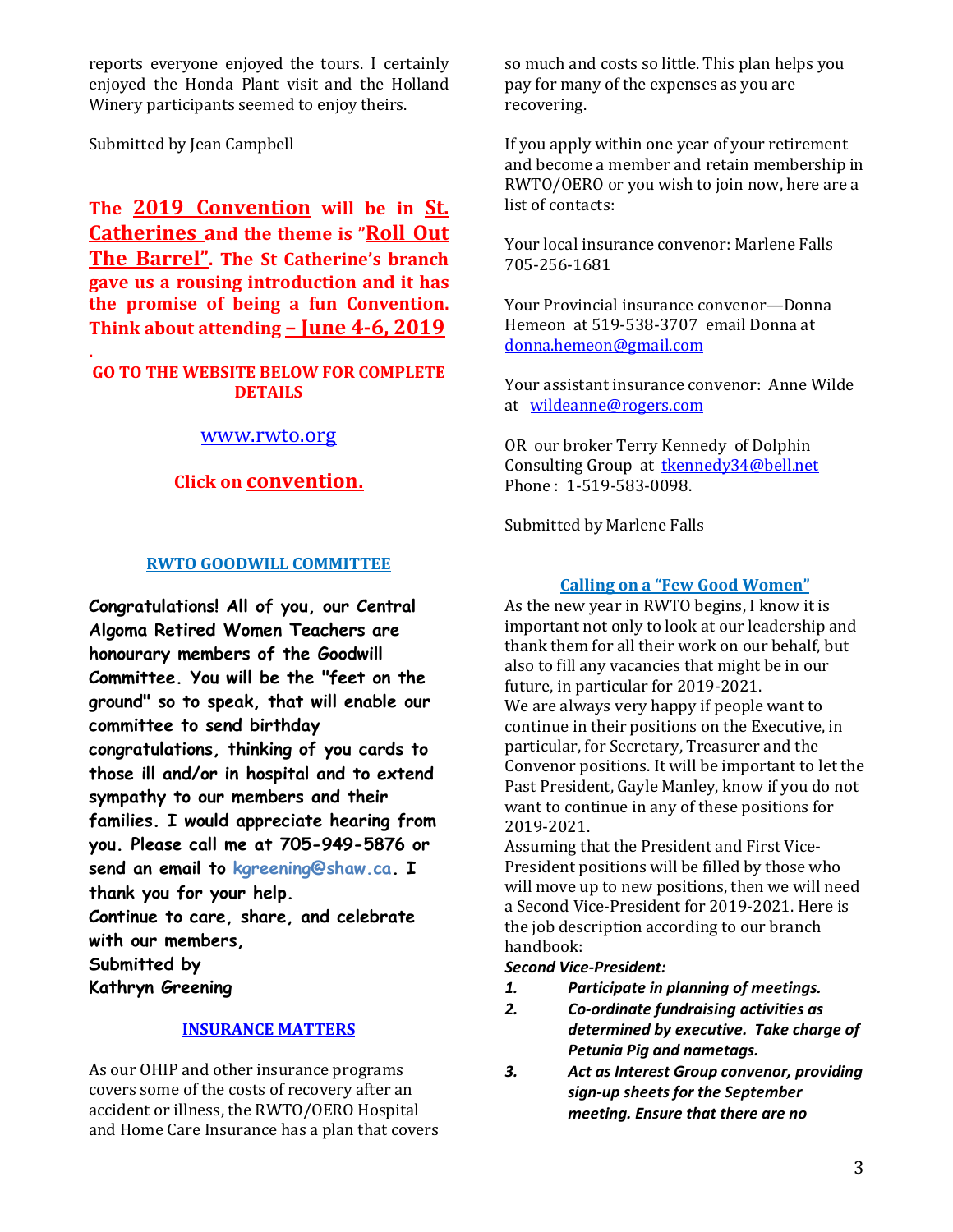reports everyone enjoyed the tours. I certainly enjoyed the Honda Plant visit and the Holland Winery participants seemed to enjoy theirs.

Submitted by Jean Campbell

The 2019 Convention will be in St. **Catherines and the theme is "Roll Out The Barrel". The St Catherine's branch gave us a rousing introduction and it has** the promise of being a fun Convention. **Think about attending – June 4-6, 2019** 

### **. GO TO THE WEBSITE BELOW FOR COMPLETE DETAILS**

### www.rwto.org

# **Click on convention.**

### **RWTO GOODWILL COMMITTEE**

**Congratulations! All of you, our Central Algoma Retired Women Teachers are honourary members of the Goodwill Committee. You will be the "feet on the ground" so to speak, that will enable our committee to send birthday congratulations, thinking of you cards to those ill and/or in hospital and to extend sympathy to our members and their families. I would appreciate hearing from you. Please call me at 705-949-5876 or send an email to kgreening@shaw.ca. I thank you for your help.**

**Continue to care, share, and celebrate with our members,**

**Submitted by**

**Kathryn Greening**

### **INSURANCE MATTERS**

As our OHIP and other insurance programs covers some of the costs of recovery after an accident or illness, the RWTO/OERO Hospital and Home Care Insurance has a plan that covers so much and costs so little. This plan helps you pay for many of the expenses as you are recovering. 

If you apply within one year of your retirement and become a member and retain membership in RWTO/OERO or you wish to join now, here are a list of contacts:

Your local insurance convenor: Marlene Falls 705-256-1681

Your Provincial insurance convenor—Donna Hemeon at 519-538-3707 email Donna at donna.hemeon@gmail.com

Your assistant insurance convenor: Anne Wilde at wildeanne@rogers.com

OR our broker Terry Kennedy of Dolphin Consulting Group at tkennedy34@bell.net Phone: 1-519-583-0098.

Submitted by Marlene Falls

# **Calling on a "Few Good Women"**

As the new year in RWTO begins, I know it is important not only to look at our leadership and thank them for all their work on our behalf, but also to fill any vacancies that might be in our future, in particular for 2019-2021. We are always very happy if people want to continue in their positions on the Executive, in particular, for Secretary, Treasurer and the Convenor positions. It will be important to let the Past President, Gayle Manley, know if you do not want to continue in any of these positions for 2019-2021.

Assuming that the President and First Vice-President positions will be filled by those who will move up to new positions, then we will need a Second Vice-President for 2019-2021. Here is the job description according to our branch handbook:

### *Second Vice-President:*

- *1. Participate in planning of meetings.*
- *2. Co-ordinate fundraising activities as determined by executive. Take charge of Petunia Pig and nametags.*
- *3. Act as Interest Group convenor, providing sign-up sheets for the September meeting. Ensure that there are no*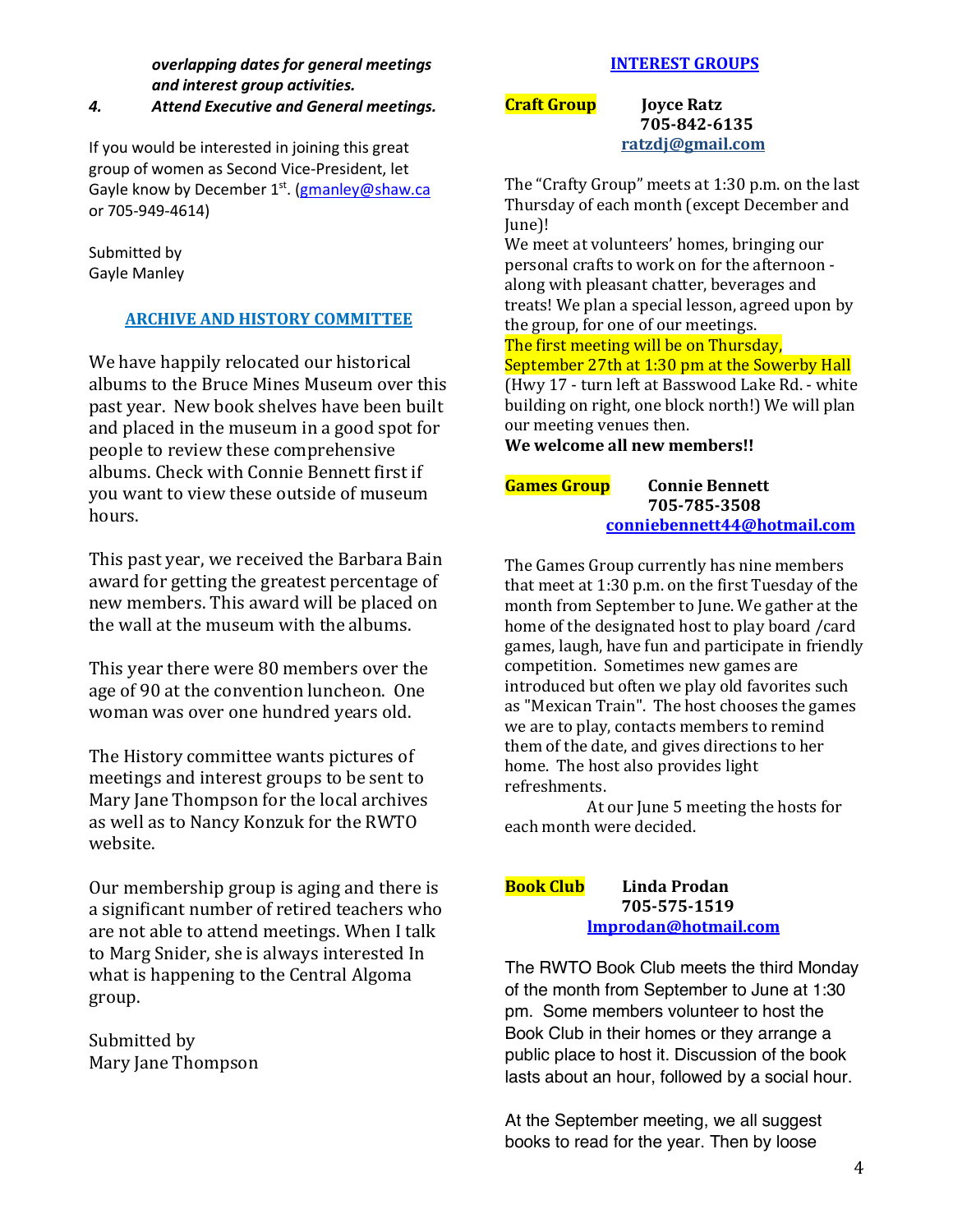*overlapping dates for general meetings and interest group activities.*

### *4. Attend Executive and General meetings.*

If you would be interested in joining this great group of women as Second Vice-President, let Gayle know by December 1<sup>st</sup>. (gmanley@shaw.ca or 705-949-4614)

Submitted by Gayle Manley

# **ARCHIVE AND HISTORY COMMITTEE**

We have happily relocated our historical albums to the Bruce Mines Museum over this past year. New book shelves have been built and placed in the museum in a good spot for people to review these comprehensive albums. Check with Connie Bennett first if you want to view these outside of museum hours.

This past year, we received the Barbara Bain award for getting the greatest percentage of new members. This award will be placed on the wall at the museum with the albums.

This year there were 80 members over the age of 90 at the convention luncheon. One woman was over one hundred years old.

The History committee wants pictures of meetings and interest groups to be sent to Mary Jane Thompson for the local archives as well as to Nancy Konzuk for the RWTO website.

Our membership group is aging and there is a significant number of retired teachers who are not able to attend meetings. When I talk to Marg Snider, she is always interested In what is happening to the Central Algoma group.

Submitted by Mary Jane Thompson

# **INTEREST GROUPS**

**Craft Group** *Iovce Ratz*  **705-842-6135** ratzdj@gmail.com

The "Crafty Group" meets at 1:30 p.m. on the last Thursday of each month (except December and June)!

We meet at volunteers' homes, bringing our personal crafts to work on for the afternoon along with pleasant chatter, beverages and treats! We plan a special lesson, agreed upon by the group, for one of our meetings.

The first meeting will be on Thursday.

# September 27th at 1:30 pm at the Sowerby Hall

(Hwy 17 - turn left at Basswood Lake Rd. - white building on right, one block north!) We will plan our meeting venues then.

We welcome all new members!!

**Games Group** Connie Bennett  $705 - 785 - 3508$ conniebennett44@hotmail.com

The Games Group currently has nine members that meet at  $1:30$  p.m. on the first Tuesday of the month from September to June. We gather at the home of the designated host to play board /card games, laugh, have fun and participate in friendly competition. Sometimes new games are introduced but often we play old favorites such as "Mexican Train". The host chooses the games we are to play, contacts members to remind them of the date, and gives directions to her home. The host also provides light refreshments.

At our June 5 meeting the hosts for each month were decided.

### **Book Club Linda Prodan 705-575-1519 lmprodan@hotmail.com**

The RWTO Book Club meets the third Monday of the month from September to June at 1:30 pm. Some members volunteer to host the Book Club in their homes or they arrange a public place to host it. Discussion of the book lasts about an hour, followed by a social hour.

At the September meeting, we all suggest books to read for the year. Then by loose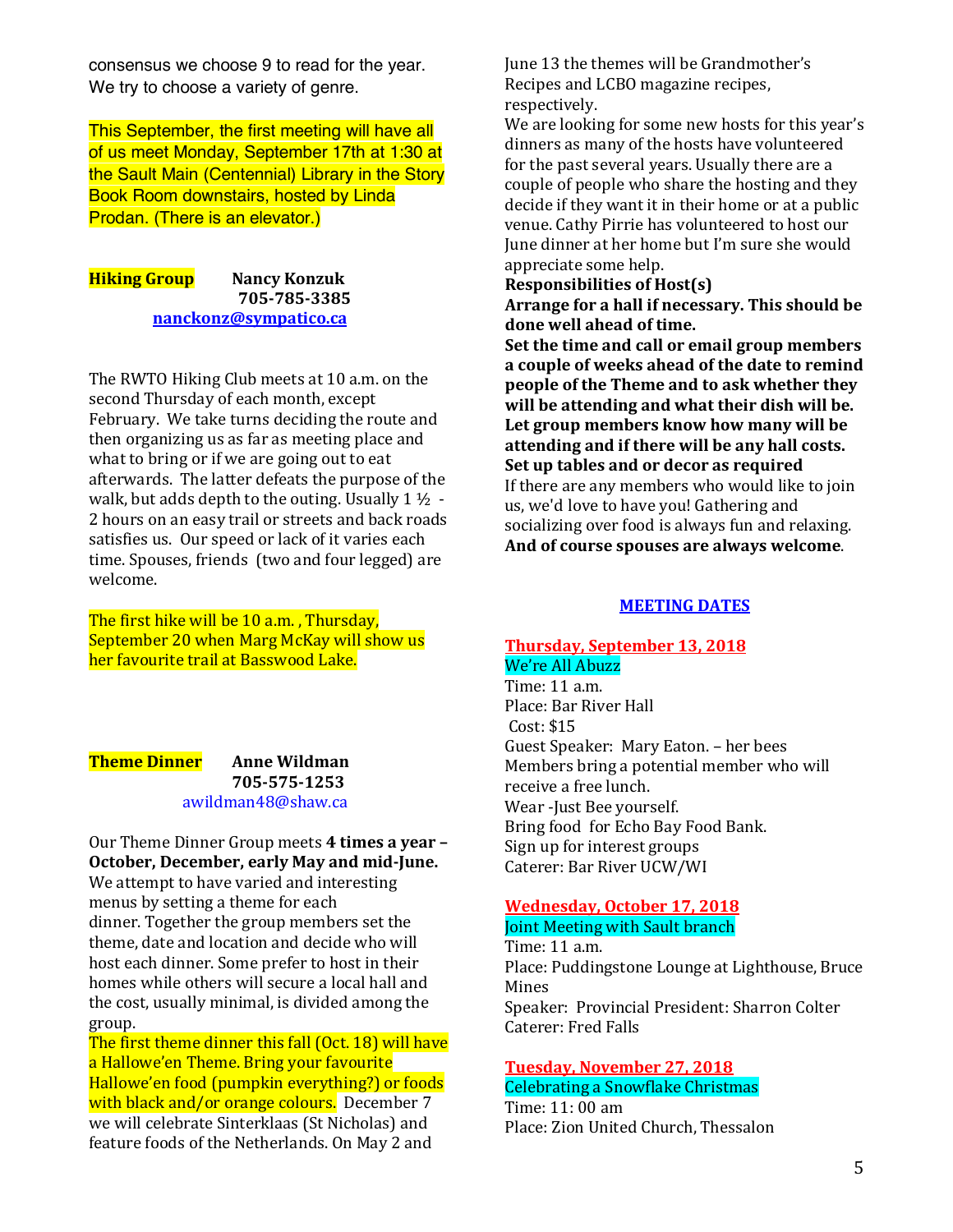consensus we choose 9 to read for the year. We try to choose a variety of genre.

This September, the first meeting will have all of us meet Monday, September 17th at 1:30 at the Sault Main (Centennial) Library in the Story Book Room downstairs, hosted by Linda Prodan. (There is an elevator.)

### **Hiking Group** Nancy Konzuk  **705-785-3385 nanckonz@sympatico.ca**

The RWTO Hiking Club meets at 10 a.m. on the second Thursday of each month, except February. We take turns deciding the route and then organizing us as far as meeting place and what to bring or if we are going out to eat afterwards. The latter defeats the purpose of the walk, but adds depth to the outing. Usually  $1\frac{1}{2}$  -2 hours on an easy trail or streets and back roads satisfies us. Our speed or lack of it varies each time. Spouses, friends (two and four legged) are welcome.

The first hike will be 10 a.m., Thursday, September 20 when Marg McKay will show us her favourite trail at Basswood Lake.

### **Theme Dinner** Anne Wildman **705-575-1253**  awildman48@shaw.ca

Our Theme Dinner Group meets 4 times a year -**October, December, early May and mid-June.** We attempt to have varied and interesting menus by setting a theme for each dinner. Together the group members set the theme, date and location and decide who will host each dinner. Some prefer to host in their homes while others will secure a local hall and the cost, usually minimal, is divided among the group.

The first theme dinner this fall (Oct. 18) will have a Hallowe'en Theme. Bring your favourite Hallowe'en food (pumpkin everything?) or foods with black and/or orange colours. December 7 we will celebrate Sinterklaas (St Nicholas) and feature foods of the Netherlands. On May 2 and

June 13 the themes will be Grandmother's Recipes and LCBO magazine recipes, respectively.

We are looking for some new hosts for this year's dinners as many of the hosts have volunteered for the past several years. Usually there are a couple of people who share the hosting and they decide if they want it in their home or at a public venue. Cathy Pirrie has volunteered to host our June dinner at her home but I'm sure she would appreciate some help.

### **Responsibilities of Host(s)**

Arrange for a hall if necessary. This should be **done well ahead of time.**

**Set the time and call or email group members** a couple of weeks ahead of the date to remind **people of the Theme and to ask whether they** will be attending and what their dish will be. Let group members know how many will be attending and if there will be any hall costs. **Set up tables and or decor as required** If there are any members who would like to join us, we'd love to have you! Gathering and socializing over food is always fun and relaxing. And of course spouses are always welcome.

#### **MEETING DATES**

#### **Thursday, September 13, 2018** We're All Abuzz

Time: 11 a.m. Place: Bar River Hall Cost: \$15 Guest Speaker: Mary Eaton. - her bees Members bring a potential member who will receive a free lunch. Wear -Just Bee yourself. Bring food for Echo Bay Food Bank. Sign up for interest groups Caterer: Bar River UCW/WI

### **Wednesday, October 17, 2018 Joint Meeting with Sault branch**

Time: 11 a.m. Place: Puddingstone Lounge at Lighthouse, Bruce Mines Speaker: Provincial President: Sharron Colter Caterer: Fred Falls

#### **Tuesday, November 27, 2018 Celebrating a Snowflake Christmas**

Time: 11: 00 am Place: Zion United Church, Thessalon